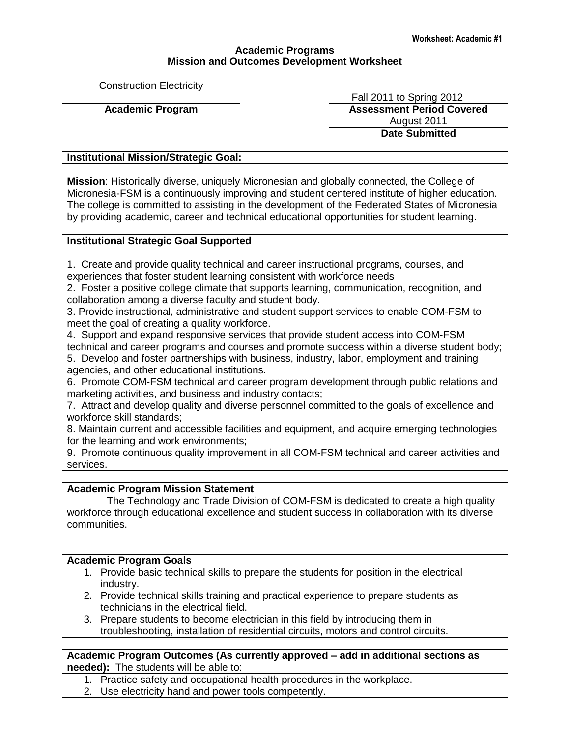# **Academic Programs Mission and Outcomes Development Worksheet**

Construction Electricity

 Fall 2011 to Spring 2012 **Academic Program Assessment Period Covered** August 2011 **Date Submitted**

# **Institutional Mission/Strategic Goal:**

**Mission**: Historically diverse, uniquely Micronesian and globally connected, the College of Micronesia-FSM is a continuously improving and student centered institute of higher education. The college is committed to assisting in the development of the Federated States of Micronesia by providing academic, career and technical educational opportunities for student learning.

# **Institutional Strategic Goal Supported**

1. Create and provide quality technical and career instructional programs, courses, and experiences that foster student learning consistent with workforce needs

2. Foster a positive college climate that supports learning, communication, recognition, and collaboration among a diverse faculty and student body.

3. Provide instructional, administrative and student support services to enable COM-FSM to meet the goal of creating a quality workforce.

4. Support and expand responsive services that provide student access into COM-FSM technical and career programs and courses and promote success within a diverse student body;

5. Develop and foster partnerships with business, industry, labor, employment and training agencies, and other educational institutions.

6. Promote COM-FSM technical and career program development through public relations and marketing activities, and business and industry contacts;

7. Attract and develop quality and diverse personnel committed to the goals of excellence and workforce skill standards;

8. Maintain current and accessible facilities and equipment, and acquire emerging technologies for the learning and work environments;

9. Promote continuous quality improvement in all COM-FSM technical and career activities and services.

# **Academic Program Mission Statement**

 The Technology and Trade Division of COM-FSM is dedicated to create a high quality workforce through educational excellence and student success in collaboration with its diverse communities.

#### **Academic Program Goals**

- 1. Provide basic technical skills to prepare the students for position in the electrical industry.
- 2. Provide technical skills training and practical experience to prepare students as technicians in the electrical field.
- 3. Prepare students to become electrician in this field by introducing them in troubleshooting, installation of residential circuits, motors and control circuits.

**Academic Program Outcomes (As currently approved – add in additional sections as needed):** The students will be able to:

- 1. Practice safety and occupational health procedures in the workplace.
- 2. Use electricity hand and power tools competently.